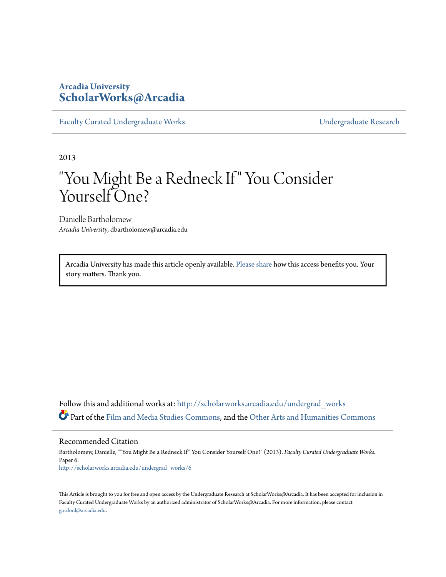## **Arcadia University [ScholarWorks@Arcadia](http://scholarworks.arcadia.edu?utm_source=scholarworks.arcadia.edu%2Fundergrad_works%2F6&utm_medium=PDF&utm_campaign=PDFCoverPages)**

[Faculty Curated Undergraduate Works](http://scholarworks.arcadia.edu/undergrad_works?utm_source=scholarworks.arcadia.edu%2Fundergrad_works%2F6&utm_medium=PDF&utm_campaign=PDFCoverPages) **Example 2018** [Undergraduate Research](http://scholarworks.arcadia.edu/undergrad_scholarship?utm_source=scholarworks.arcadia.edu%2Fundergrad_works%2F6&utm_medium=PDF&utm_campaign=PDFCoverPages)

2013

## "You Might Be a Redneck If" You Consider Yourself One?

Danielle Bartholomew *Arcadia University*, dbartholomew@arcadia.edu

Arcadia University has made this article openly available. [Please share](https://goo.gl/forms/Ref8L18S9ZgLcqDx1) how this access benefits you. Your story matters. Thank you.

Follow this and additional works at: [http://scholarworks.arcadia.edu/undergrad\\_works](http://scholarworks.arcadia.edu/undergrad_works?utm_source=scholarworks.arcadia.edu%2Fundergrad_works%2F6&utm_medium=PDF&utm_campaign=PDFCoverPages) Part of the [Film and Media Studies Commons](http://network.bepress.com/hgg/discipline/563?utm_source=scholarworks.arcadia.edu%2Fundergrad_works%2F6&utm_medium=PDF&utm_campaign=PDFCoverPages), and the [Other Arts and Humanities Commons](http://network.bepress.com/hgg/discipline/577?utm_source=scholarworks.arcadia.edu%2Fundergrad_works%2F6&utm_medium=PDF&utm_campaign=PDFCoverPages)

Recommended Citation

Bartholomew, Danielle, ""You Might Be a Redneck If" You Consider Yourself One?" (2013). *Faculty Curated Undergraduate Works.* Paper 6. [http://scholarworks.arcadia.edu/undergrad\\_works/6](http://scholarworks.arcadia.edu/undergrad_works/6?utm_source=scholarworks.arcadia.edu%2Fundergrad_works%2F6&utm_medium=PDF&utm_campaign=PDFCoverPages)

This Article is brought to you for free and open access by the Undergraduate Research at ScholarWorks@Arcadia. It has been accepted for inclusion in Faculty Curated Undergraduate Works by an authorized administrator of ScholarWorks@Arcadia. For more information, please contact [gordonl@arcadia.edu](mailto:gordonl@arcadia.edu).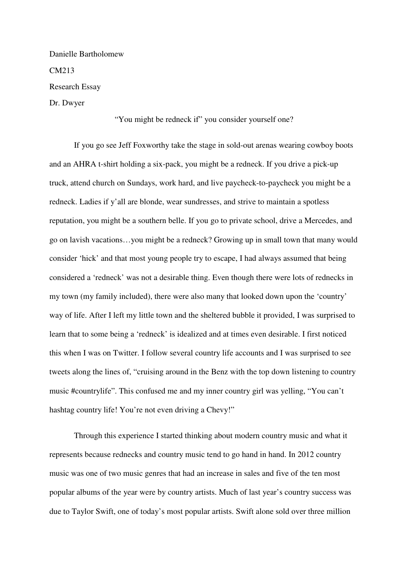Danielle Bartholomew CM213 Research Essay Dr. Dwyer

## "You might be redneck if" you consider yourself one?

 If you go see Jeff Foxworthy take the stage in sold-out arenas wearing cowboy boots and an AHRA t-shirt holding a six-pack, you might be a redneck. If you drive a pick-up truck, attend church on Sundays, work hard, and live paycheck-to-paycheck you might be a redneck. Ladies if y'all are blonde, wear sundresses, and strive to maintain a spotless reputation, you might be a southern belle. If you go to private school, drive a Mercedes, and go on lavish vacations…you might be a redneck? Growing up in small town that many would consider 'hick' and that most young people try to escape, I had always assumed that being considered a 'redneck' was not a desirable thing. Even though there were lots of rednecks in my town (my family included), there were also many that looked down upon the 'country' way of life. After I left my little town and the sheltered bubble it provided, I was surprised to learn that to some being a 'redneck' is idealized and at times even desirable. I first noticed this when I was on Twitter. I follow several country life accounts and I was surprised to see tweets along the lines of, "cruising around in the Benz with the top down listening to country music #countrylife". This confused me and my inner country girl was yelling, "You can't hashtag country life! You're not even driving a Chevy!"

 Through this experience I started thinking about modern country music and what it represents because rednecks and country music tend to go hand in hand. In 2012 country music was one of two music genres that had an increase in sales and five of the ten most popular albums of the year were by country artists. Much of last year's country success was due to Taylor Swift, one of today's most popular artists. Swift alone sold over three million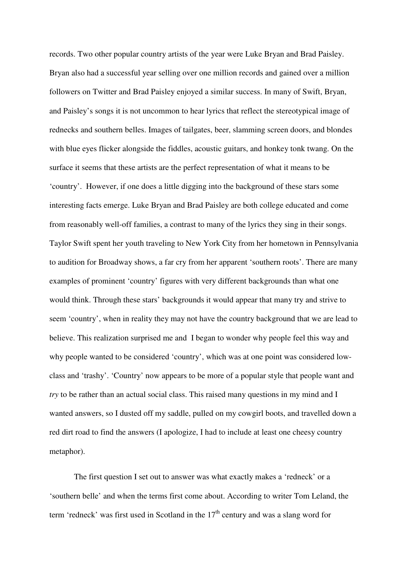records. Two other popular country artists of the year were Luke Bryan and Brad Paisley. Bryan also had a successful year selling over one million records and gained over a million followers on Twitter and Brad Paisley enjoyed a similar success. In many of Swift, Bryan, and Paisley's songs it is not uncommon to hear lyrics that reflect the stereotypical image of rednecks and southern belles. Images of tailgates, beer, slamming screen doors, and blondes with blue eyes flicker alongside the fiddles, acoustic guitars, and honkey tonk twang. On the surface it seems that these artists are the perfect representation of what it means to be 'country'. However, if one does a little digging into the background of these stars some interesting facts emerge. Luke Bryan and Brad Paisley are both college educated and come from reasonably well-off families, a contrast to many of the lyrics they sing in their songs. Taylor Swift spent her youth traveling to New York City from her hometown in Pennsylvania to audition for Broadway shows, a far cry from her apparent 'southern roots'. There are many examples of prominent 'country' figures with very different backgrounds than what one would think. Through these stars' backgrounds it would appear that many try and strive to seem 'country', when in reality they may not have the country background that we are lead to believe. This realization surprised me and I began to wonder why people feel this way and why people wanted to be considered 'country', which was at one point was considered lowclass and 'trashy'. 'Country' now appears to be more of a popular style that people want and *try* to be rather than an actual social class. This raised many questions in my mind and I wanted answers, so I dusted off my saddle, pulled on my cowgirl boots, and travelled down a red dirt road to find the answers (I apologize, I had to include at least one cheesy country metaphor).

 The first question I set out to answer was what exactly makes a 'redneck' or a 'southern belle' and when the terms first come about. According to writer Tom Leland, the term 'redneck' was first used in Scotland in the  $17<sup>th</sup>$  century and was a slang word for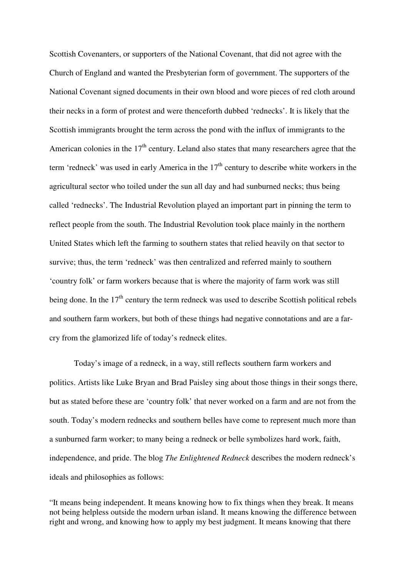Scottish Covenanters, or supporters of the National Covenant, that did not agree with the Church of England and wanted the Presbyterian form of government. The supporters of the National Covenant signed documents in their own blood and wore pieces of red cloth around their necks in a form of protest and were thenceforth dubbed 'rednecks'. It is likely that the Scottish immigrants brought the term across the pond with the influx of immigrants to the American colonies in the  $17<sup>th</sup>$  century. Leland also states that many researchers agree that the term 'redneck' was used in early America in the  $17<sup>th</sup>$  century to describe white workers in the agricultural sector who toiled under the sun all day and had sunburned necks; thus being called 'rednecks'. The Industrial Revolution played an important part in pinning the term to reflect people from the south. The Industrial Revolution took place mainly in the northern United States which left the farming to southern states that relied heavily on that sector to survive; thus, the term 'redneck' was then centralized and referred mainly to southern 'country folk' or farm workers because that is where the majority of farm work was still being done. In the  $17<sup>th</sup>$  century the term redneck was used to describe Scottish political rebels and southern farm workers, but both of these things had negative connotations and are a farcry from the glamorized life of today's redneck elites.

 Today's image of a redneck, in a way, still reflects southern farm workers and politics. Artists like Luke Bryan and Brad Paisley sing about those things in their songs there, but as stated before these are 'country folk' that never worked on a farm and are not from the south. Today's modern rednecks and southern belles have come to represent much more than a sunburned farm worker; to many being a redneck or belle symbolizes hard work, faith, independence, and pride. The blog *The Enlightened Redneck* describes the modern redneck's ideals and philosophies as follows:

"It means being independent. It means knowing how to fix things when they break. It means not being helpless outside the modern urban island. It means knowing the difference between right and wrong, and knowing how to apply my best judgment. It means knowing that there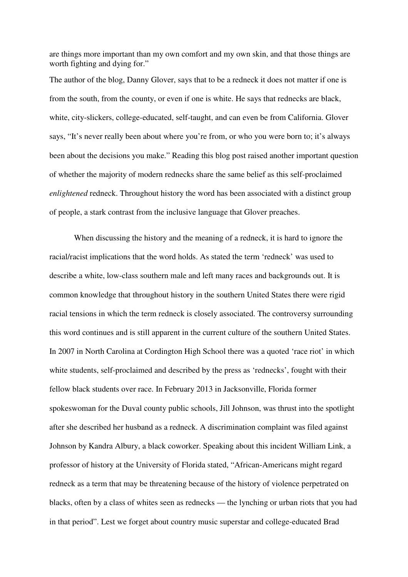are things more important than my own comfort and my own skin, and that those things are worth fighting and dying for."

The author of the blog, Danny Glover, says that to be a redneck it does not matter if one is from the south, from the county, or even if one is white. He says that rednecks are black, white, city-slickers, college-educated, self-taught, and can even be from California. Glover says, "It's never really been about where you're from, or who you were born to; it's always been about the decisions you make." Reading this blog post raised another important question of whether the majority of modern rednecks share the same belief as this self-proclaimed *enlightened* redneck. Throughout history the word has been associated with a distinct group of people, a stark contrast from the inclusive language that Glover preaches.

 When discussing the history and the meaning of a redneck, it is hard to ignore the racial/racist implications that the word holds. As stated the term 'redneck' was used to describe a white, low-class southern male and left many races and backgrounds out. It is common knowledge that throughout history in the southern United States there were rigid racial tensions in which the term redneck is closely associated. The controversy surrounding this word continues and is still apparent in the current culture of the southern United States. In 2007 in North Carolina at Cordington High School there was a quoted 'race riot' in which white students, self-proclaimed and described by the press as 'rednecks', fought with their fellow black students over race. In February 2013 in Jacksonville, Florida former spokeswoman for the Duval county public schools, Jill Johnson, was thrust into the spotlight after she described her husband as a redneck. A discrimination complaint was filed against Johnson by Kandra Albury, a black coworker. Speaking about this incident William Link, a professor of history at the University of Florida stated, "African-Americans might regard redneck as a term that may be threatening because of the history of violence perpetrated on blacks, often by a class of whites seen as rednecks — the lynching or urban riots that you had in that period". Lest we forget about country music superstar and college-educated Brad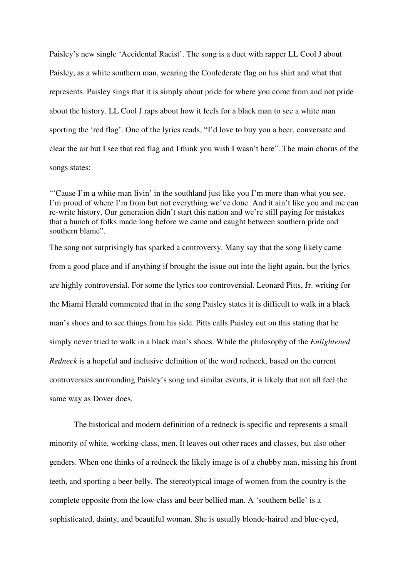Paisley's new single 'Accidental Racist'. The song is a duet with rapper LL Cool J about Paisley, as a white southern man, wearing the Confederate flag on his shirt and what that represents. Paisley sings that it is simply about pride for where you come from and not pride about the history. LL Cool J raps about how it feels for a black man to see a white man sporting the 'red flag'. One of the lyrics reads, "I'd love to buy you a beer, conversate and clear the air but I see that red flag and I think you wish I wasn't here". The main chorus of the songs states:

"'Cause I'm a white man livin' in the southland just like you I'm more than what you see. I'm proud of where I'm from but not everything we've done. And it ain't like you and me can re-write history, Our generation didn't start this nation and we're still paying for mistakes that a bunch of folks made long before we came and caught between southern pride and southern blame".

The song not surprisingly has sparked a controversy. Many say that the song likely came from a good place and if anything if brought the issue out into the light again, but the lyrics are highly controversial. For some the lyrics too controversial. Leonard Pitts, Jr. writing for the Miami Herald commented that in the song Paisley states it is difficult to walk in a black man's shoes and to see things from his side. Pitts calls Paisley out on this stating that he simply never tried to walk in a black man's shoes. While the philosophy of the *Enlightened Redneck* is a hopeful and inclusive definition of the word redneck, based on the current controversies surrounding Paisley's song and similar events, it is likely that not all feel the same way as Dover does.

 The historical and modern definition of a redneck is specific and represents a small minority of white, working-class, men. It leaves out other races and classes, but also other genders. When one thinks of a redneck the likely image is of a chubby man, missing his front teeth, and sporting a beer belly. The stereotypical image of women from the country is the complete opposite from the low-class and beer bellied man. A 'southern belle' is a sophisticated, dainty, and beautiful woman. She is usually blonde-haired and blue-eyed,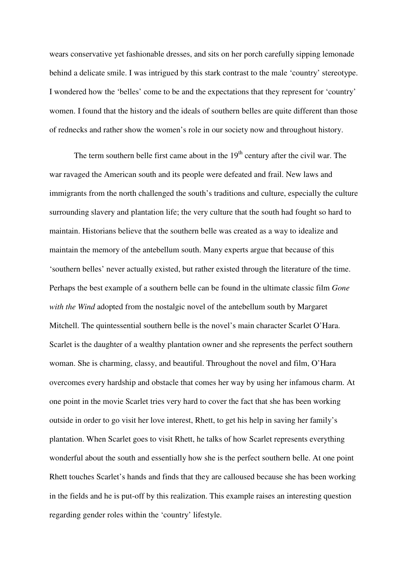wears conservative yet fashionable dresses, and sits on her porch carefully sipping lemonade behind a delicate smile. I was intrigued by this stark contrast to the male 'country' stereotype. I wondered how the 'belles' come to be and the expectations that they represent for 'country' women. I found that the history and the ideals of southern belles are quite different than those of rednecks and rather show the women's role in our society now and throughout history.

The term southern belle first came about in the  $19<sup>th</sup>$  century after the civil war. The war ravaged the American south and its people were defeated and frail. New laws and immigrants from the north challenged the south's traditions and culture, especially the culture surrounding slavery and plantation life; the very culture that the south had fought so hard to maintain. Historians believe that the southern belle was created as a way to idealize and maintain the memory of the antebellum south. Many experts argue that because of this 'southern belles' never actually existed, but rather existed through the literature of the time. Perhaps the best example of a southern belle can be found in the ultimate classic film *Gone with the Wind* adopted from the nostalgic novel of the antebellum south by Margaret Mitchell. The quintessential southern belle is the novel's main character Scarlet O'Hara. Scarlet is the daughter of a wealthy plantation owner and she represents the perfect southern woman. She is charming, classy, and beautiful. Throughout the novel and film, O'Hara overcomes every hardship and obstacle that comes her way by using her infamous charm. At one point in the movie Scarlet tries very hard to cover the fact that she has been working outside in order to go visit her love interest, Rhett, to get his help in saving her family's plantation. When Scarlet goes to visit Rhett, he talks of how Scarlet represents everything wonderful about the south and essentially how she is the perfect southern belle. At one point Rhett touches Scarlet's hands and finds that they are calloused because she has been working in the fields and he is put-off by this realization. This example raises an interesting question regarding gender roles within the 'country' lifestyle.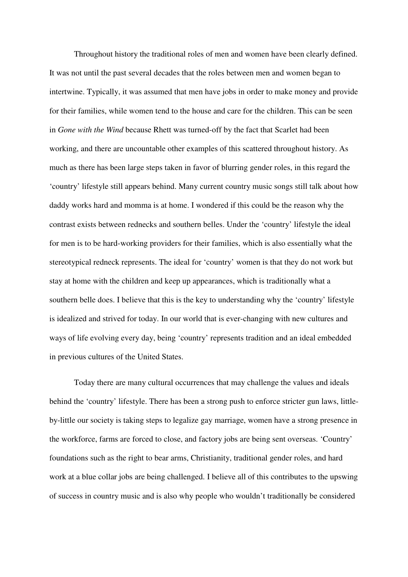Throughout history the traditional roles of men and women have been clearly defined. It was not until the past several decades that the roles between men and women began to intertwine. Typically, it was assumed that men have jobs in order to make money and provide for their families, while women tend to the house and care for the children. This can be seen in *Gone with the Wind* because Rhett was turned-off by the fact that Scarlet had been working, and there are uncountable other examples of this scattered throughout history. As much as there has been large steps taken in favor of blurring gender roles, in this regard the 'country' lifestyle still appears behind. Many current country music songs still talk about how daddy works hard and momma is at home. I wondered if this could be the reason why the contrast exists between rednecks and southern belles. Under the 'country' lifestyle the ideal for men is to be hard-working providers for their families, which is also essentially what the stereotypical redneck represents. The ideal for 'country' women is that they do not work but stay at home with the children and keep up appearances, which is traditionally what a southern belle does. I believe that this is the key to understanding why the 'country' lifestyle is idealized and strived for today. In our world that is ever-changing with new cultures and ways of life evolving every day, being 'country' represents tradition and an ideal embedded in previous cultures of the United States.

 Today there are many cultural occurrences that may challenge the values and ideals behind the 'country' lifestyle. There has been a strong push to enforce stricter gun laws, littleby-little our society is taking steps to legalize gay marriage, women have a strong presence in the workforce, farms are forced to close, and factory jobs are being sent overseas. 'Country' foundations such as the right to bear arms, Christianity, traditional gender roles, and hard work at a blue collar jobs are being challenged. I believe all of this contributes to the upswing of success in country music and is also why people who wouldn't traditionally be considered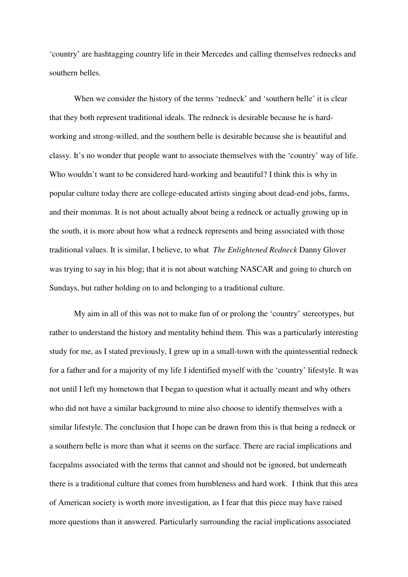'country' are hashtagging country life in their Mercedes and calling themselves rednecks and southern belles.

 When we consider the history of the terms 'redneck' and 'southern belle' it is clear that they both represent traditional ideals. The redneck is desirable because he is hardworking and strong-willed, and the southern belle is desirable because she is beautiful and classy. It's no wonder that people want to associate themselves with the 'country' way of life. Who wouldn't want to be considered hard-working and beautiful? I think this is why in popular culture today there are college-educated artists singing about dead-end jobs, farms, and their mommas. It is not about actually about being a redneck or actually growing up in the south, it is more about how what a redneck represents and being associated with those traditional values. It is similar, I believe, to what *The Enlightened Redneck* Danny Glover was trying to say in his blog; that it is not about watching NASCAR and going to church on Sundays, but rather holding on to and belonging to a traditional culture.

 My aim in all of this was not to make fun of or prolong the 'country' stereotypes, but rather to understand the history and mentality behind them. This was a particularly interesting study for me, as I stated previously, I grew up in a small-town with the quintessential redneck for a father and for a majority of my life I identified myself with the 'country' lifestyle. It was not until I left my hometown that I began to question what it actually meant and why others who did not have a similar background to mine also choose to identify themselves with a similar lifestyle. The conclusion that I hope can be drawn from this is that being a redneck or a southern belle is more than what it seems on the surface. There are racial implications and facepalms associated with the terms that cannot and should not be ignored, but underneath there is a traditional culture that comes from humbleness and hard work. I think that this area of American society is worth more investigation, as I fear that this piece may have raised more questions than it answered. Particularly surrounding the racial implications associated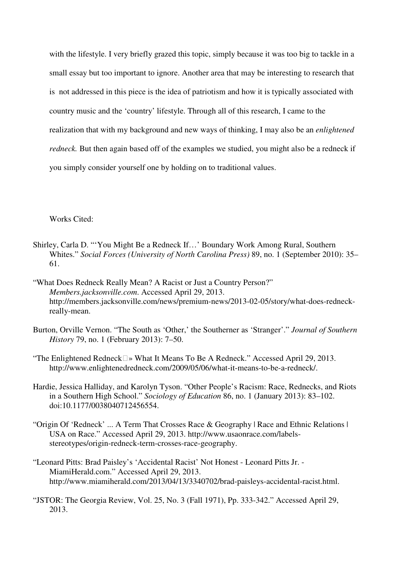with the lifestyle. I very briefly grazed this topic, simply because it was too big to tackle in a small essay but too important to ignore. Another area that may be interesting to research that is not addressed in this piece is the idea of patriotism and how it is typically associated with country music and the 'country' lifestyle. Through all of this research, I came to the realization that with my background and new ways of thinking, I may also be an *enlightened redneck.* But then again based off of the examples we studied, you might also be a redneck if you simply consider yourself one by holding on to traditional values.

Works Cited:

- Shirley, Carla D. "'You Might Be a Redneck If…' Boundary Work Among Rural, Southern Whites." *Social Forces (University of North Carolina Press)* 89, no. 1 (September 2010): 35– 61.
- "What Does Redneck Really Mean? A Racist or Just a Country Person?" *Members.jacksonville.com*. Accessed April 29, 2013. http://members.jacksonville.com/news/premium-news/2013-02-05/story/what-does-redneckreally-mean.
- Burton, Orville Vernon. "The South as 'Other,' the Southerner as 'Stranger'." *Journal of Southern History* 79, no. 1 (February 2013): 7–50.

"The Enlightened Redneck» What It Means To Be A Redneck." Accessed April 29, 2013. http://www.enlightenedredneck.com/2009/05/06/what-it-means-to-be-a-redneck/.

- Hardie, Jessica Halliday, and Karolyn Tyson. "Other People's Racism: Race, Rednecks, and Riots in a Southern High School." *Sociology of Education* 86, no. 1 (January 2013): 83–102. doi:10.1177/0038040712456554.
- "Origin Of 'Redneck' ... A Term That Crosses Race & Geography | Race and Ethnic Relations | USA on Race." Accessed April 29, 2013. http://www.usaonrace.com/labelsstereotypes/origin-redneck-term-crosses-race-geography.
- "Leonard Pitts: Brad Paisley's 'Accidental Racist' Not Honest Leonard Pitts Jr. MiamiHerald.com." Accessed April 29, 2013. http://www.miamiherald.com/2013/04/13/3340702/brad-paisleys-accidental-racist.html.
- "JSTOR: The Georgia Review, Vol. 25, No. 3 (Fall 1971), Pp. 333-342." Accessed April 29, 2013.